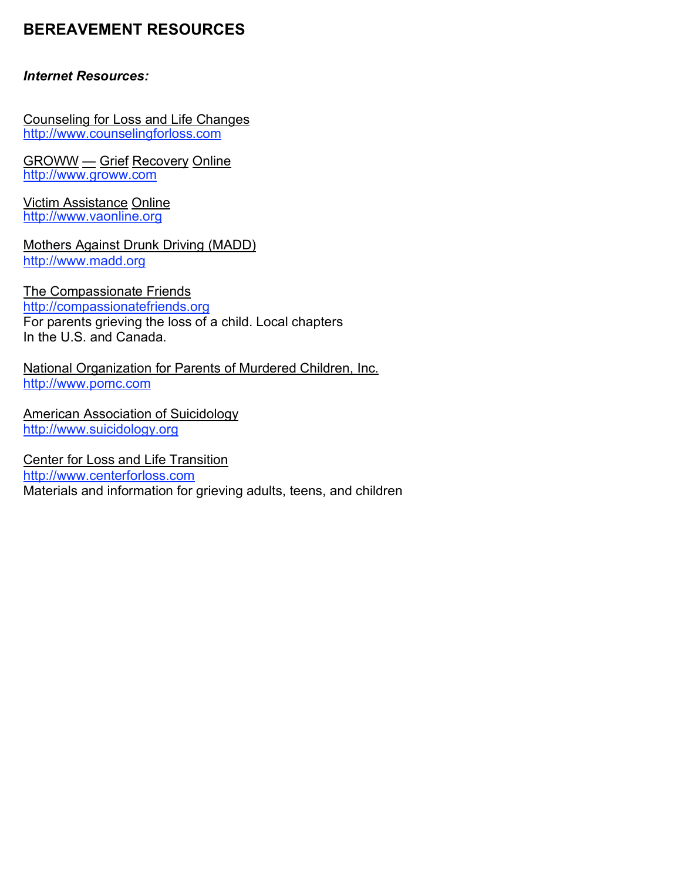## **BEREAVEMENT RESOURCES**

## *Internet Resources:*

Counseling for Loss and Life Changes http://www.counselingforloss.com

GROWW — Grief Recovery Online http://www.groww.com

Victim Assistance Online http://www.vaonline.org

Mothers Against Drunk Driving (MADD) http://www.madd.org

The Compassionate Friends

http://compassionatefriends.org For parents grieving the loss of a child. Local chapters In the U.S. and Canada.

National Organization for Parents of Murdered Children, Inc. http://www.pomc.com

American Association of Suicidology http://www.suicidology.org

Center for Loss and Life Transition http://www.centerforloss.com Materials and information for grieving adults, teens, and children